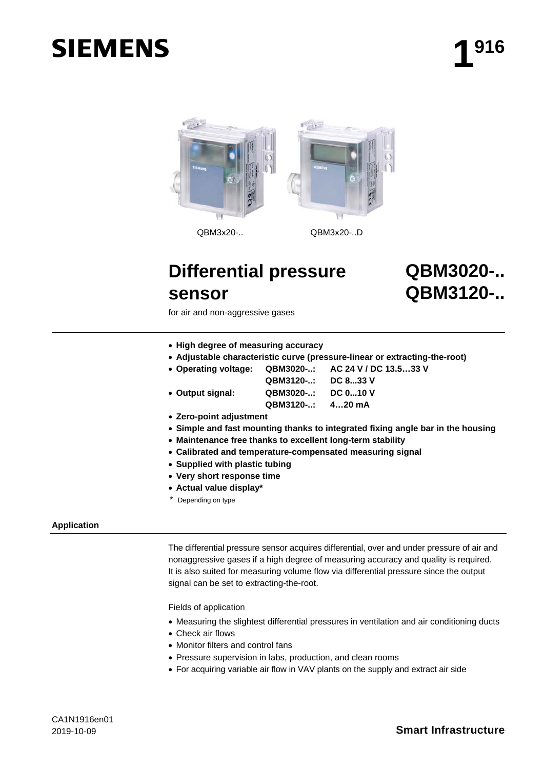# **SIEMENS**



# **Differential pressure sensor**

**QBM3020-.. QBM3120-..**

for air and non-aggressive gases

- **High degree of measuring accuracy**
- **Adjustable characteristic curve (pressure-linear or extracting-the-root)**
- **Operating voltage: QBM3020-..: AC 24 V / DC 13.5…33 V**

**QBM3120-..: DC 8...33 V** • **Output signal: QBM3020-..: DC 0...10 V QBM3120-..: 4…20 mA**

- **Zero-point adjustment**
- **Simple and fast mounting thanks to integrated fixing angle bar in the housing**
- **Maintenance free thanks to excellent long-term stability**
- **Calibrated and temperature-compensated measuring signal**
- **Supplied with plastic tubing**
- **Very short response time**
- **Actual value display\***
- Depending on type

# **Application**

The differential pressure sensor acquires differential, over and under pressure of air and nonaggressive gases if a high degree of measuring accuracy and quality is required. It is also suited for measuring volume flow via differential pressure since the output signal can be set to extracting-the-root.

Fields of application

- Measuring the slightest differential pressures in ventilation and air conditioning ducts
- Check air flows
- Monitor filters and control fans
- Pressure supervision in labs, production, and clean rooms
- For acquiring variable air flow in VAV plants on the supply and extract air side

# 2019-10-09 **Smart Infrastructure**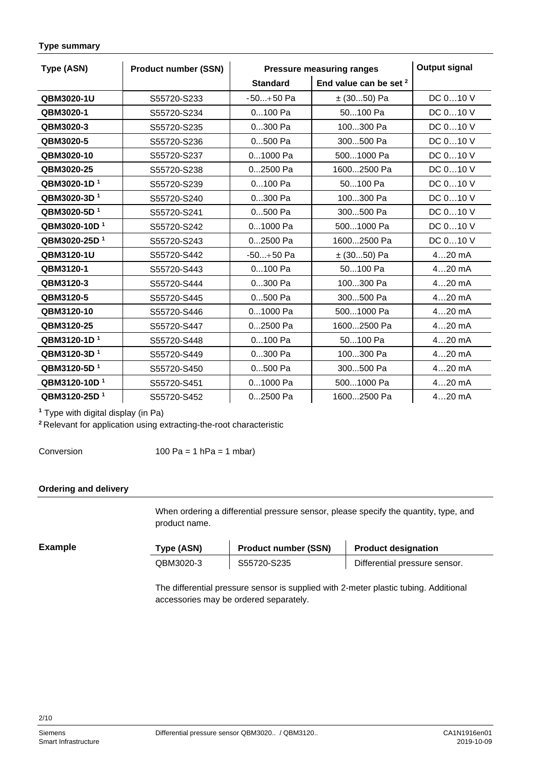<span id="page-1-0"></span>

| <b>Type summary</b> |  |  |
|---------------------|--|--|
|---------------------|--|--|

| Type (ASN)               | <b>Product number (SSN)</b> | <b>Pressure measuring ranges</b> |                                   | <b>Output signal</b> |
|--------------------------|-----------------------------|----------------------------------|-----------------------------------|----------------------|
|                          |                             | <b>Standard</b>                  | End value can be set <sup>2</sup> |                      |
| QBM3020-1U               | S55720-S233                 | $-50+50$ Pa                      | $\pm$ (3050) Pa                   | DC 010 V             |
| QBM3020-1                | S55720-S234                 | 0100 Pa                          | 50100 Pa                          | DC 010 V             |
| QBM3020-3                | S55720-S235                 | 0300 Pa                          | 100300 Pa                         | DC 010 V             |
| QBM3020-5                | S55720-S236                 | 0500 Pa                          | 300500 Pa                         | DC 010 V             |
| QBM3020-10               | S55720-S237                 | 01000 Pa                         | 5001000 Pa                        | DC 010 V             |
| QBM3020-25               | S55720-S238                 | 02500 Pa                         | 16002500 Pa                       | DC 010 V             |
| QBM3020-1D <sup>1</sup>  | S55720-S239                 | 0100 Pa                          | 50100 Pa                          | DC 010 V             |
| QBM3020-3D <sup>1</sup>  | S55720-S240                 | 0300 Pa                          | 100300 Pa                         | DC 010 V             |
| QBM3020-5D <sup>1</sup>  | S55720-S241                 | 0500 Pa                          | 300500 Pa                         | DC 010 V             |
| QBM3020-10D <sup>1</sup> | S55720-S242                 | 01000 Pa                         | 5001000 Pa                        | DC 010 V             |
| QBM3020-25D <sup>1</sup> | S55720-S243                 | 02500 Pa                         | 16002500 Pa                       | DC 010 V             |
| QBM3120-1U               | S55720-S442                 | $-50+50$ Pa                      | $± (3050)$ Pa                     | $420$ mA             |
| QBM3120-1                | S55720-S443                 | 0100 Pa                          | 50100 Pa                          | $420$ mA             |
| QBM3120-3                | S55720-S444                 | 0300 Pa                          | 100300 Pa                         | $420$ mA             |
| QBM3120-5                | S55720-S445                 | 0500 Pa                          | 300500 Pa                         | $420$ mA             |
| QBM3120-10               | S55720-S446                 | 01000 Pa                         | 5001000 Pa                        | $420$ mA             |
| QBM3120-25               | S55720-S447                 | 02500 Pa                         | 16002500 Pa                       | $420$ mA             |
| QBM3120-1D <sup>1</sup>  | S55720-S448                 | 0100 Pa                          | 50100 Pa                          | $420$ mA             |
| QBM3120-3D <sup>1</sup>  | S55720-S449                 | 0300 Pa                          | 100300 Pa                         | $420$ mA             |
| QBM3120-5D <sup>1</sup>  | S55720-S450                 | 0500 Pa                          | 300500 Pa                         | 420 mA               |
| QBM3120-10D <sup>1</sup> | S55720-S451                 | 01000 Pa                         | 5001000 Pa                        | $420$ mA             |
| QBM3120-25D <sup>1</sup> | S55720-S452                 | $02500$ Pa                       | 16002500 Pa                       | 420 mA               |

**<sup>1</sup>** Type with digital display (in Pa)

**<sup>2</sup>**Relevant for application using extracting-the-root characteristic

Conversion

100 Pa = 1 hPa = 1 mbar)

# **Ordering and delivery**

When ordering a differential pressure sensor, please specify the quantity, type, and product name.

# **Example**

| Type (ASN) | <b>Product number (SSN)</b> | <b>Product designation</b>    |
|------------|-----------------------------|-------------------------------|
| QBM3020-3  | S55720-S235                 | Differential pressure sensor. |

The differential pressure sensor is supplied with 2-meter plastic tubing. Additional accessories may be ordered separately.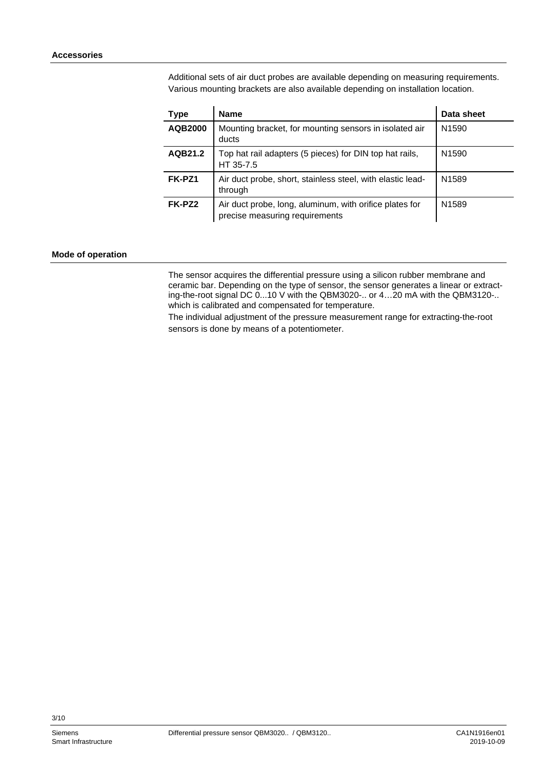Additional sets of air duct probes are available depending on measuring requirements. Various mounting brackets are also available depending on installation location.

| Type    | Name                                                                                      | Data sheet        |
|---------|-------------------------------------------------------------------------------------------|-------------------|
| AQB2000 | Mounting bracket, for mounting sensors in isolated air<br>ducts                           | N <sub>1590</sub> |
| AQB21.2 | Top hat rail adapters (5 pieces) for DIN top hat rails,<br>HT 35-7.5                      | N <sub>1590</sub> |
| FK-PZ1  | Air duct probe, short, stainless steel, with elastic lead-<br>through                     | N <sub>1589</sub> |
| FK-PZ2  | Air duct probe, long, aluminum, with orifice plates for<br>precise measuring requirements | N <sub>1589</sub> |

#### **Mode of operation**

The sensor acquires the differential pressure using a silicon rubber membrane and ceramic bar. Depending on the type of sensor, the sensor generates a linear or extracting-the-root signal DC 0...10 V with the QBM3020-.. or 4...20 mA with the QBM3120-.. which is calibrated and compensated for temperature.

The individual adjustment of the pressure measurement range for extracting-the-root sensors is done by means of a potentiometer.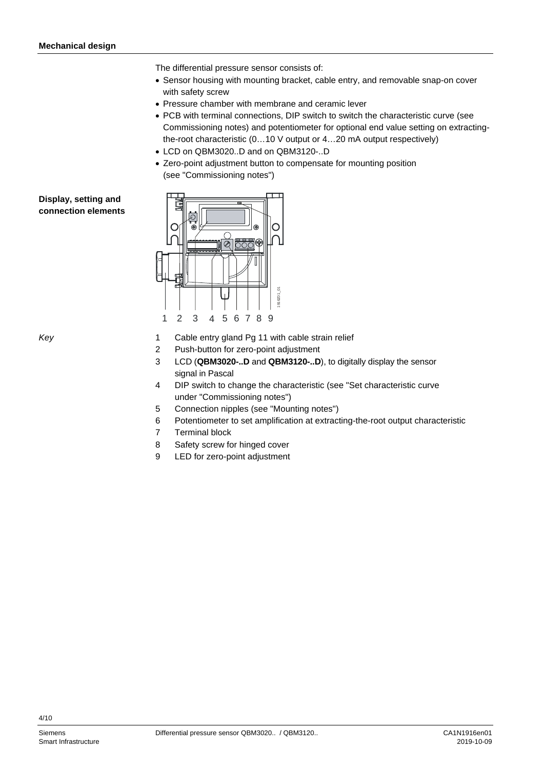The differential pressure sensor consists of:

- Sensor housing with mounting bracket, cable entry, and removable snap-on cover with safety screw
- Pressure chamber with membrane and ceramic lever
- PCB with terminal connections, DIP switch to switch the characteristic curve (see Commissioning notes) and potentiometer for optional end value setting on extractingthe-root characteristic (0…10 V output or 4…20 mA output respectively)
- LCD on QBM3020..D and on QBM3120-..D
- Zero-point adjustment button to compensate for mounting position (see "Commissioning notes")

<span id="page-3-0"></span>**Display, setting and connection elements**



*Key*

- 1 Cable entry gland Pg 11 with cable strain relief
- 2 Push-button for zero-point adjustment
- 3 LCD (**QBM3020-..D** and **QBM3120-..D**), to digitally display the sensor signal in Pascal
- 4 DIP switch to change the characteristic (see ["Set characteristic curve](#page-5-0) under "Commissioning notes")
- 5 Connection nipples (see "Mounting notes")
- 6 Potentiometer to set amplification at extracting-the-root output characteristic
- 7 Terminal block
- 8 Safety screw for hinged cover
- 9 LED for zero-point adjustment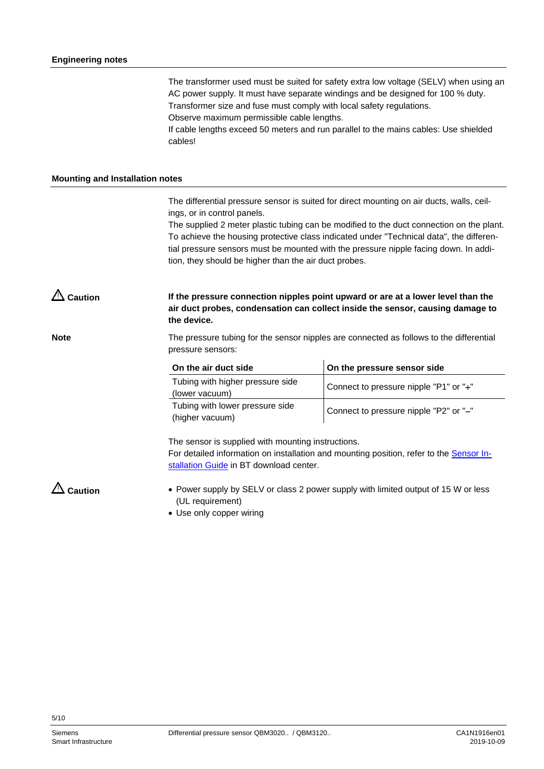The transformer used must be suited for safety extra low voltage (SELV) when using an AC power supply. It must have separate windings and be designed for 100 % duty. Transformer size and fuse must comply with local safety regulations. Observe maximum permissible cable lengths.

If cable lengths exceed 50 meters and run parallel to the mains cables: Use shielded cables!

#### **Mounting and Installation notes**

The differential pressure sensor is suited for direct mounting on air ducts, walls, ceilings, or in control panels.

The supplied 2 meter plastic tubing can be modified to the duct connection on the plant. To achieve the housing protective class indicated under "Technical data", the differential pressure sensors must be mounted with the pressure nipple facing down. In addition, they should be higher than the air duct probes.

**If the pressure connection nipples point upward or are at a lower level than the air duct probes, condensation can collect inside the sensor, causing damage to the device. Caution**

**Note**

The pressure tubing for the sensor nipples are connected as follows to the differential pressure sensors:

| On the air duct side                               | On the pressure sensor side            |
|----------------------------------------------------|----------------------------------------|
| Tubing with higher pressure side<br>(lower vacuum) | Connect to pressure nipple "P1" or "+" |
| Tubing with lower pressure side<br>(higher vacuum) | Connect to pressure nipple "P2" or "-" |

The sensor is supplied with mounting instructions.

For detailed information on installation and mounting position, refer to the **Sensor In**[stallation Guide](http://www.siemens.com/bt/file?soi=A6V10366334) in BT download center.

**Caution**

- Power supply by SELV or class 2 power supply with limited output of 15 W or less (UL requirement)
- Use only copper wiring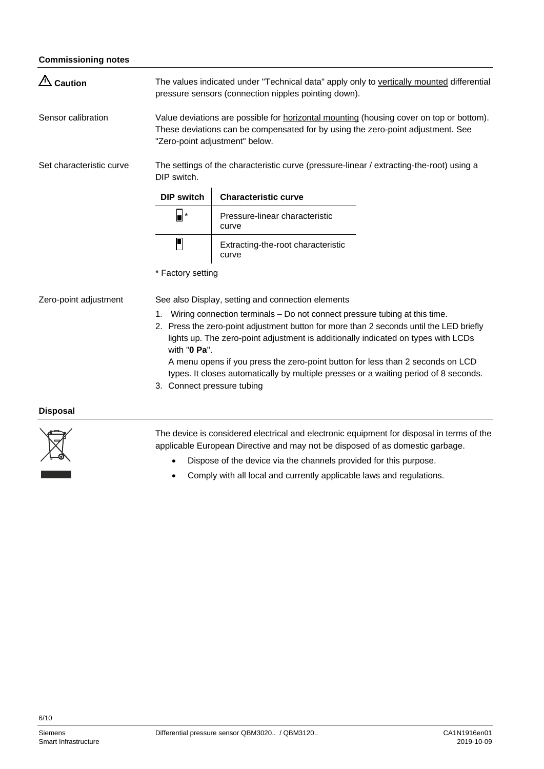#### **Commissioning notes**

<span id="page-5-0"></span>

| $\sqrt{2}$ Caution       | The values indicated under "Technical data" apply only to vertically mounted differential<br>pressure sensors (connection nipples pointing down).                                                                                                                                                                                                                                                                                                                                        |                                             |  |
|--------------------------|------------------------------------------------------------------------------------------------------------------------------------------------------------------------------------------------------------------------------------------------------------------------------------------------------------------------------------------------------------------------------------------------------------------------------------------------------------------------------------------|---------------------------------------------|--|
| Sensor calibration       | Value deviations are possible for <b>horizontal mounting</b> (housing cover on top or bottom).<br>These deviations can be compensated for by using the zero-point adjustment. See<br>"Zero-point adjustment" below.                                                                                                                                                                                                                                                                      |                                             |  |
| Set characteristic curve | The settings of the characteristic curve (pressure-linear / extracting-the-root) using a<br>DIP switch.                                                                                                                                                                                                                                                                                                                                                                                  |                                             |  |
|                          | <b>DIP switch</b>                                                                                                                                                                                                                                                                                                                                                                                                                                                                        | <b>Characteristic curve</b>                 |  |
|                          | $\blacksquare$                                                                                                                                                                                                                                                                                                                                                                                                                                                                           | Pressure-linear characteristic<br>curve     |  |
|                          | $\blacksquare$                                                                                                                                                                                                                                                                                                                                                                                                                                                                           | Extracting-the-root characteristic<br>curve |  |
|                          | * Factory setting                                                                                                                                                                                                                                                                                                                                                                                                                                                                        |                                             |  |
| Zero-point adjustment    | See also Display, setting and connection elements                                                                                                                                                                                                                                                                                                                                                                                                                                        |                                             |  |
|                          | Wiring connection terminals – Do not connect pressure tubing at this time.<br>1.<br>2. Press the zero-point adjustment button for more than 2 seconds until the LED briefly<br>lights up. The zero-point adjustment is additionally indicated on types with LCDs<br>with "0 Pa".<br>A menu opens if you press the zero-point button for less than 2 seconds on LCD<br>types. It closes automatically by multiple presses or a waiting period of 8 seconds.<br>3. Connect pressure tubing |                                             |  |

# **Disposal**



The device is considered electrical and electronic equipment for disposal in terms of the applicable European Directive and may not be disposed of as domestic garbage.

- Dispose of the device via the channels provided for this purpose.
- Comply with all local and currently applicable laws and regulations.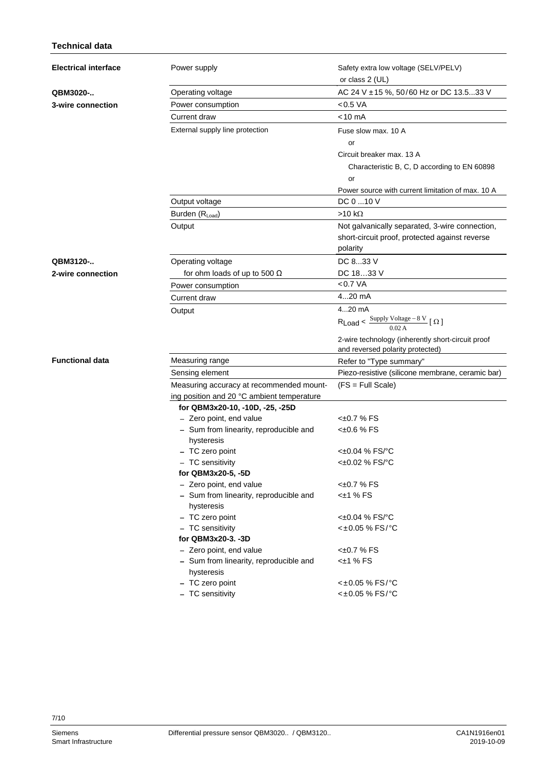# **Technical data**

| <b>Electrical interface</b> | Power supply                                         | Safety extra low voltage (SELV/PELV)                                                          |
|-----------------------------|------------------------------------------------------|-----------------------------------------------------------------------------------------------|
|                             |                                                      | or class 2 (UL)                                                                               |
| QBM3020-                    | Operating voltage                                    | AC 24 V ± 15 %, 50/60 Hz or DC 13.533 V                                                       |
| 3-wire connection           | Power consumption                                    | < 0.5 VA                                                                                      |
|                             | Current draw                                         | $< 10 \text{ mA}$                                                                             |
|                             | External supply line protection                      | Fuse slow max. 10 A                                                                           |
|                             |                                                      | or                                                                                            |
|                             |                                                      | Circuit breaker max. 13 A                                                                     |
|                             |                                                      | Characteristic B, C, D according to EN 60898                                                  |
|                             |                                                      | or                                                                                            |
|                             |                                                      | Power source with current limitation of max. 10 A                                             |
|                             | Output voltage                                       | DC 0 10 V                                                                                     |
|                             | Burden (RLoad)                                       | $>10 k\Omega$                                                                                 |
|                             | Output                                               | Not galvanically separated, 3-wire connection,                                                |
|                             |                                                      | short-circuit proof, protected against reverse                                                |
|                             |                                                      | polarity                                                                                      |
| QBM3120-                    | Operating voltage                                    | DC 833 V                                                                                      |
| 2-wire connection           | for ohm loads of up to 500 $\Omega$                  | DC 1833 V                                                                                     |
|                             | Power consumption                                    | < 0.7 VA                                                                                      |
|                             | Current draw                                         | 420 mA                                                                                        |
|                             | Output                                               | 420 mA                                                                                        |
|                             |                                                      | R <sub>Load</sub> < $\frac{\text{Supply Voltage} - 8 \text{ V}}{0.02 \text{ A}}$ [ $\Omega$ ] |
|                             |                                                      | 2-wire technology (inherently short-circuit proof<br>and reversed polarity protected)         |
| <b>Functional data</b>      | Measuring range                                      | Refer to "Type summary"                                                                       |
|                             | Sensing element                                      | Piezo-resistive (silicone membrane, ceramic bar)                                              |
|                             | Measuring accuracy at recommended mount-             | $(FS = Full Scale)$                                                                           |
|                             | ing position and 20 °C ambient temperature           |                                                                                               |
|                             | for QBM3x20-10, -10D, -25, -25D                      |                                                                                               |
|                             | - Zero point, end value                              | <±0.7 % FS                                                                                    |
|                             | - Sum from linearity, reproducible and               | $<\pm 0.6$ % FS                                                                               |
|                             | hysteresis                                           |                                                                                               |
|                             | - TC zero point                                      | $< \pm 0.04$ % FS/°C                                                                          |
|                             | - TC sensitivity                                     | <±0.02 % FS/°C                                                                                |
|                             | for QBM3x20-5, -5D<br>- Zero point, end value        | $<\pm 0.7$ % FS                                                                               |
|                             | - Sum from linearity, reproducible and               | $<\pm 1$ % FS                                                                                 |
|                             | hysteresis                                           |                                                                                               |
|                             | - TC zero point                                      | $<±0.04$ % FS/°C                                                                              |
|                             | - TC sensitivity                                     | <±0.05 % FS/°C                                                                                |
|                             | for QBM3x20-3. -3D                                   |                                                                                               |
|                             | - Zero point, end value                              | $<\pm 0.7$ % FS                                                                               |
|                             | - Sum from linearity, reproducible and<br>hysteresis | $<\pm 1$ % FS                                                                                 |
|                             | - TC zero point                                      | <±0.05 % FS/°C                                                                                |
|                             | - TC sensitivity                                     | <±0.05 % FS/°C                                                                                |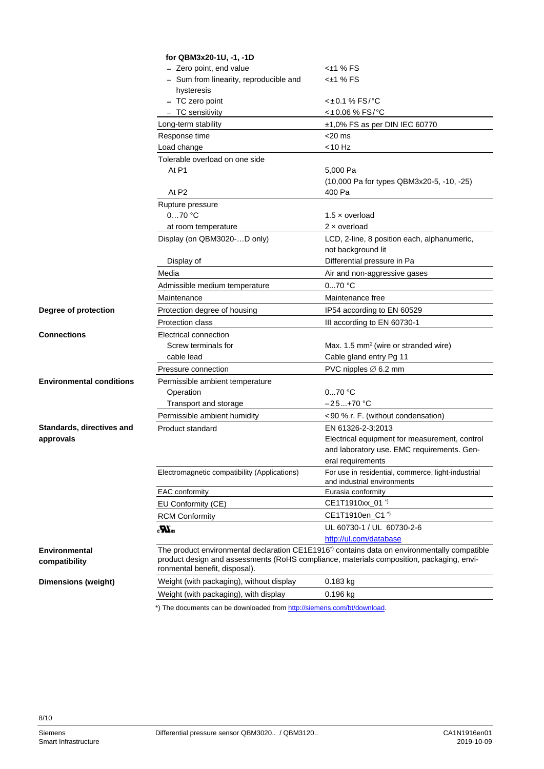|                                       | for QBM3x20-1U, -1, -1D                                                                                                                                                                                                              |                                                    |  |
|---------------------------------------|--------------------------------------------------------------------------------------------------------------------------------------------------------------------------------------------------------------------------------------|----------------------------------------------------|--|
|                                       | - Zero point, end value                                                                                                                                                                                                              | <±1 % FS                                           |  |
|                                       | - Sum from linearity, reproducible and                                                                                                                                                                                               | $<\pm 1$ % FS                                      |  |
|                                       | hysteresis                                                                                                                                                                                                                           | $<\pm 0.1$ % FS/°C                                 |  |
|                                       | - TC zero point                                                                                                                                                                                                                      |                                                    |  |
|                                       | - TC sensitivity                                                                                                                                                                                                                     | <±0.06 % FS/°C                                     |  |
|                                       | Long-term stability                                                                                                                                                                                                                  | $±1,0\%$ FS as per DIN IEC 60770                   |  |
|                                       | Response time                                                                                                                                                                                                                        | $<$ 20 ms                                          |  |
|                                       | Load change                                                                                                                                                                                                                          | <10 Hz                                             |  |
|                                       | Tolerable overload on one side                                                                                                                                                                                                       |                                                    |  |
|                                       | At P1                                                                                                                                                                                                                                | 5,000 Pa                                           |  |
|                                       |                                                                                                                                                                                                                                      | (10,000 Pa for types QBM3x20-5, -10, -25)          |  |
|                                       | At P <sub>2</sub>                                                                                                                                                                                                                    | 400 Pa                                             |  |
|                                       | Rupture pressure                                                                                                                                                                                                                     |                                                    |  |
|                                       | 070 °C                                                                                                                                                                                                                               | 1.5 $\times$ overload                              |  |
|                                       | at room temperature                                                                                                                                                                                                                  | $2 \times$ overload                                |  |
|                                       | Display (on QBM3020-D only)                                                                                                                                                                                                          | LCD, 2-line, 8 position each, alphanumeric,        |  |
|                                       |                                                                                                                                                                                                                                      | not background lit                                 |  |
|                                       | Display of                                                                                                                                                                                                                           | Differential pressure in Pa                        |  |
|                                       | Media                                                                                                                                                                                                                                | Air and non-aggressive gases                       |  |
|                                       | Admissible medium temperature                                                                                                                                                                                                        | $070$ °C                                           |  |
|                                       | Maintenance                                                                                                                                                                                                                          | Maintenance free                                   |  |
| Degree of protection                  | Protection degree of housing                                                                                                                                                                                                         | IP54 according to EN 60529                         |  |
|                                       | Protection class                                                                                                                                                                                                                     | III according to EN 60730-1                        |  |
| Connections                           | Electrical connection                                                                                                                                                                                                                |                                                    |  |
|                                       | Screw terminals for                                                                                                                                                                                                                  | Max. 1.5 mm <sup>2</sup> (wire or stranded wire)   |  |
|                                       | cable lead                                                                                                                                                                                                                           | Cable gland entry Pg 11                            |  |
|                                       | Pressure connection                                                                                                                                                                                                                  | PVC nipples $\varnothing$ 6.2 mm                   |  |
| <b>Environmental conditions</b>       | Permissible ambient temperature                                                                                                                                                                                                      |                                                    |  |
|                                       | Operation                                                                                                                                                                                                                            | $070$ °C                                           |  |
|                                       | Transport and storage                                                                                                                                                                                                                | –25…+70 °C                                         |  |
|                                       | Permissible ambient humidity                                                                                                                                                                                                         | <90 % r. F. (without condensation)                 |  |
| <b>Standards, directives and</b>      | Product standard                                                                                                                                                                                                                     | EN 61326-2-3:2013                                  |  |
| approvals                             |                                                                                                                                                                                                                                      | Electrical equipment for measurement, control      |  |
|                                       |                                                                                                                                                                                                                                      | and laboratory use. EMC requirements. Gen-         |  |
|                                       |                                                                                                                                                                                                                                      | eral requirements                                  |  |
|                                       | Electromagnetic compatibility (Applications)                                                                                                                                                                                         | For use in residential, commerce, light-industrial |  |
|                                       |                                                                                                                                                                                                                                      | and industrial environments                        |  |
|                                       | EAC conformity                                                                                                                                                                                                                       | Eurasia conformity                                 |  |
|                                       | EU Conformity (CE)                                                                                                                                                                                                                   | CE1T1910xx_01 <sup>*</sup>                         |  |
|                                       | <b>RCM Conformity</b>                                                                                                                                                                                                                | CE1T1910en_C1"                                     |  |
|                                       | $\mathbf{w}^{\mathrm{ns}}$                                                                                                                                                                                                           | UL 60730-1 / UL 60730-2-6                          |  |
|                                       |                                                                                                                                                                                                                                      | http://ul.com/database                             |  |
| <b>Environmental</b><br>compatibility | The product environmental declaration CE1E1916 <sup>*</sup> contains data on environmentally compatible<br>product design and assessments (RoHS compliance, materials composition, packaging, envi-<br>ronmental benefit, disposal). |                                                    |  |
| <b>Dimensions (weight)</b>            | Weight (with packaging), without display                                                                                                                                                                                             | 0.183 kg                                           |  |
|                                       | Weight (with packaging), with display                                                                                                                                                                                                | 0.196 kg                                           |  |

\*) The documents can be downloaded fro[m http://siemens.com/bt/download.](http://siemens.com/bt/download)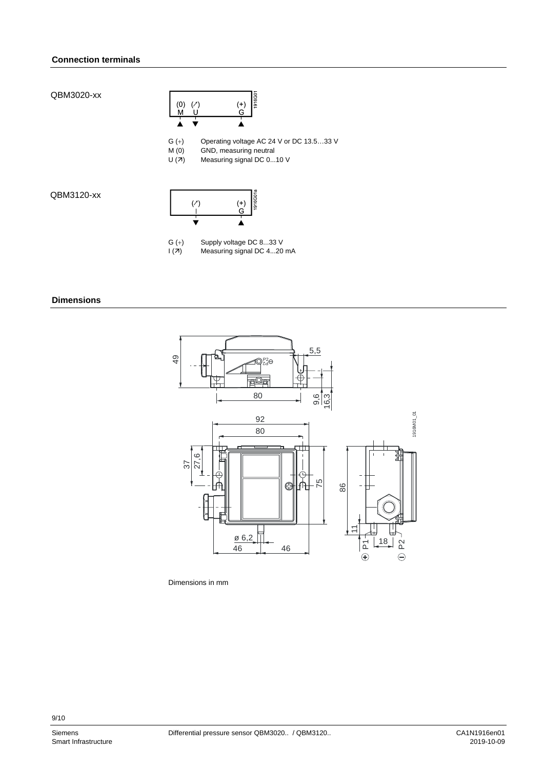#### **Connection terminals**

QBM3020-xx



G (+) Operating voltage AC 24 V or DC 13.5...33 V<br>M (0) GND, measuring neutral

M  $(0)$  GND, measuring neutral<br>U  $(7)$  Measuring signal DC 0...

Measuring signal DC 0...10 V

QBM3120-xx



G  $(+)$  Supply voltage DC 8...33 V<br> $I(7)$  Measuring signal DC 4...20

Measuring signal DC 4...20 mA

#### **Dimensions**



Dimensions in mm